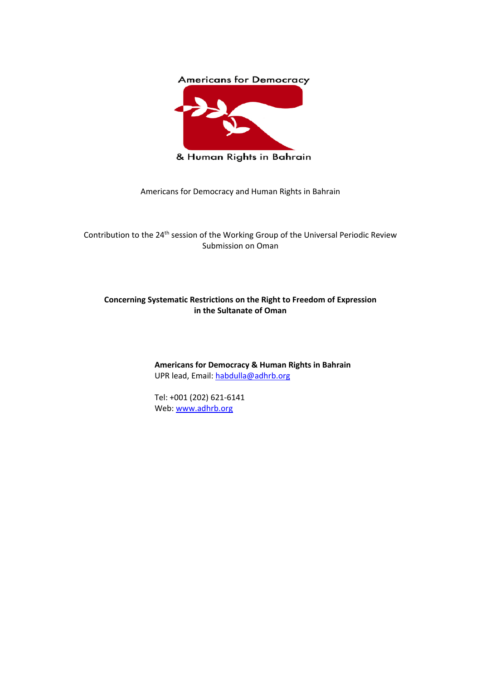

& Human Rights in Bahrain

Americans for Democracy and Human Rights in Bahrain

Contribution to the 24<sup>th</sup> session of the Working Group of the Universal Periodic Review Submission on Oman

# **Concerning Systematic Restrictions on the Right to Freedom of Expression in the Sultanate of Oman**

**Americans for Democracy & Human Rights in Bahrain** UPR lead, Email: [habdulla@adhrb.org](about:blank)

Tel: +001 (202) 621-6141 Web: [www.adhrb.org](about:blank)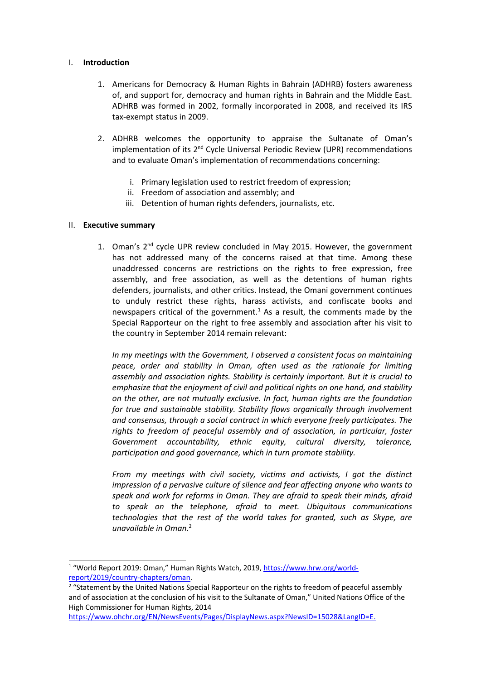### I. **Introduction**

- 1. Americans for Democracy & Human Rights in Bahrain (ADHRB) fosters awareness of, and support for, democracy and human rights in Bahrain and the Middle East. ADHRB was formed in 2002, formally incorporated in 2008, and received its IRS tax-exempt status in 2009.
- 2. ADHRB welcomes the opportunity to appraise the Sultanate of Oman'<sup>s</sup> implementation of its 2<sup>nd</sup> Cycle Universal Periodic Review (UPR) recommendations and to evaluate Oman'<sup>s</sup> implementation of recommendations concerning:
	- i. Primary legislation used to restrict freedom of expression;
	- ii. Freedom of association and assembly; and
	- iii. Detention of human rights defenders, journalists, etc.

### II. **Executive summary**

1. Oman's 2<sup>nd</sup> cycle UPR review concluded in May 2015. However, the government has not addressed many of the concerns raised at that time. Among these unaddressed concerns are restrictions on the rights to free expression, free assembly, and free association, as well as the detentions of human rights defenders, journalists, and other critics. Instead, the Omani government continues to unduly restrict these rights, harass activists, and confiscate books and newspapers critical of the government.<sup>1</sup> As a result, the comments made by the Special Rapporteur on the right to free assembly and association after his visit to the country in September 2014 remain relevant:

*In my meetings with the Government, I observed <sup>a</sup> consistent focus on maintaining peace, order and stability in Oman, often used as the rationale for limiting assembly and association rights. Stability is certainly important. But it is crucial to emphasize that the enjoyment of civil and political rights on one hand, and stability on the other, are not mutually exclusive. In fact, human rights are the foundation for true and sustainable stability. Stability flows organically through involvement and consensus, through <sup>a</sup> social contract in which everyone freely participates. The rights to freedom of peaceful assembly and of association, in particular, foster Government accountability, ethnic equity, cultural diversity, tolerance, participation and good governance, which in turn promote stability.*

*From my meetings with civil society, victims and activists, I got the distinct impression of <sup>a</sup> pervasive culture of silence and fear affecting anyone who wants to speak and work for reforms in Oman. They are afraid to speak their minds, afraid to speak on the telephone, afraid to meet. Ubiquitous communications technologies that the rest of the world takes for granted, such as Skype, are unavailable in Oman.* 2

<sup>&</sup>lt;sup>1</sup> "World Report 2019: Oman," Human Rights Watch, 2019, [https://www.hrw.org/world](about:blank)[report/2019/country-chapters/oman](about:blank).

<sup>&</sup>lt;sup>2</sup> "Statement by the United Nations Special Rapporteur on the rights to freedom of peaceful assembly and of association at the conclusion of his visit to the Sultanate of Oman," United Nations Office of the High Commissioner for Human Rights, 2014

[https://www.ohchr.org/EN/NewsEvents/Pages/DisplayNews.aspx?NewsID=15028&LangID=E](about:blank).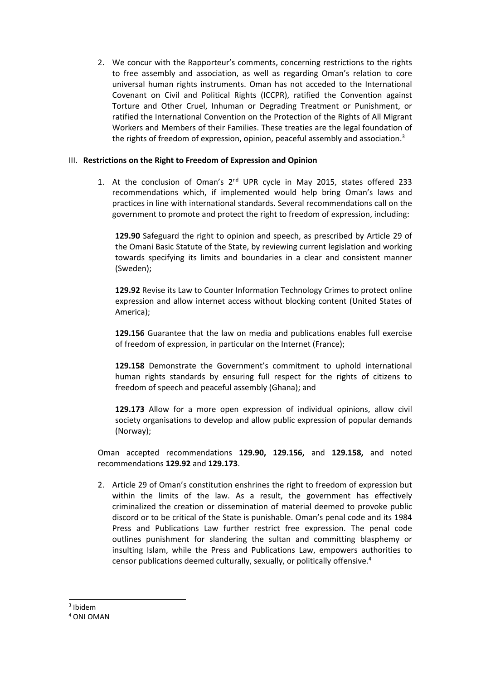2. We concur with the Rapporteur'<sup>s</sup> comments, concerning restrictions to the rights to free assembly and association, as well as regarding Oman'<sup>s</sup> relation to core universal human rights instruments. Oman has not acceded to the International Covenant on Civil and Political Rights (ICCPR), ratified the Convention against Torture and Other Cruel, Inhuman or Degrading Treatment or Punishment, or ratified the International Convention on the Protection of the Rights of All Migrant Workers and Members of their Families. These treaties are the legal foundation of the rights of freedom of expression, opinion, peaceful assembly and association.<sup>3</sup>

# III. **Restrictions on the Right to Freedom of Expression and Opinion**

1. At the conclusion of Oman's 2<sup>nd</sup> UPR cycle in May 2015, states offered 233 recommendations which, if implemented would help bring Oman'<sup>s</sup> laws and practices in line with international standards. Several recommendations call on the government to promote and protect the right to freedom of expression, including:

**129.90** Safeguard the right to opinion and speech, as prescribed by Article 29 of the Omani Basic Statute of the State, by reviewing current legislation and working towards specifying its limits and boundaries in <sup>a</sup> clear and consistent manner (Sweden);

**129.92** Revise its Law to Counter Information Technology Crimes to protect online expression and allow internet access without blocking content (United States of America);

**129.156** Guarantee that the law on media and publications enables full exercise of freedom of expression, in particular on the Internet (France);

**129.158** Demonstrate the Government'<sup>s</sup> commitment to uphold international human rights standards by ensuring full respect for the rights of citizens to freedom of speech and peaceful assembly (Ghana); and

**129.173** Allow for <sup>a</sup> more open expression of individual opinions, allow civil society organisations to develop and allow public expression of popular demands (Norway);

Oman accepted recommendations **129.90, 129.156,** and **129.158,** and noted recommendations **129.92** and **129.173**.

2. Article 29 of Oman'<sup>s</sup> constitution enshrines the right to freedom of expression but within the limits of the law. As <sup>a</sup> result, the government has effectively criminalized the creation or dissemination of material deemed to provoke public discord or to be critical of the State is punishable. Oman'<sup>s</sup> penal code and its 1984 Press and Publications Law further restrict free expression. The penal code outlines punishment for slandering the sultan and committing blasphemy or insulting Islam, while the Press and Publications Law, empowers authorities to censor publications deemed culturally, sexually, or politically offensive. 4

<sup>3</sup> Ibidem

<sup>4</sup> ONI OMAN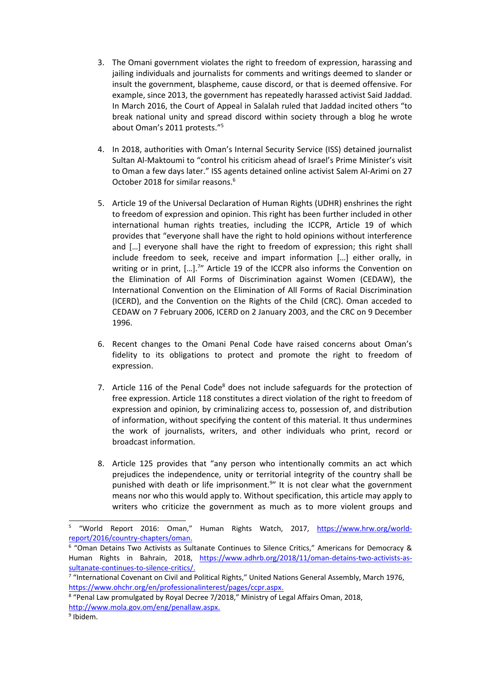- 3. The Omani government violates the right to freedom of expression, harassing and jailing individuals and journalists for comments and writings deemed to slander or insult the government, blaspheme, cause discord, or that is deemed offensive. For example, since 2013, the government has repeatedly harassed activist Said Jaddad. In March 2016, the Court of Appeal in Salalah ruled that Jaddad incited others "to break national unity and spread discord within society through <sup>a</sup> blog he wrote about Oman'<sup>s</sup> 2011 protests." 5
- 4. In 2018, authorities with Oman'<sup>s</sup> Internal Security Service (ISS) detained journalist Sultan Al-Maktoumi to "control his criticism ahead of Israel'<sup>s</sup> Prime Minister'<sup>s</sup> visit to Oman <sup>a</sup> few days later." ISS agents detained online activist Salem Al-Arimi on 27 October 2018 for similar reasons. 6
- 5. Article 19 of the Universal Declaration of Human Rights (UDHR) enshrines the right to freedom of expression and opinion. This right has been further included in other international human rights treaties, including the ICCPR, Article 19 of which provides that "everyone shall have the right to hold opinions without interference and […] everyone shall have the right to freedom of expression; this right shall include freedom to seek, receive and impart information […] either orally, in writing or in print, […]. 7 " Article 19 of the ICCPR also informs the Convention on the Elimination of All Forms of Discrimination against Women (CEDAW), the International Convention on the Elimination of All Forms of Racial Discrimination (ICERD), and the Convention on the Rights of the Child (CRC). Oman acceded to CEDAW on 7 February 2006, ICERD on 2 January 2003, and the CRC on 9 December 1996.
- 6. Recent changes to the Omani Penal Code have raised concerns about Oman'<sup>s</sup> fidelity to its obligations to protect and promote the right to freedom of expression.
- 7. Article 116 of the Penal Code<sup>8</sup> does not include safeguards for the protection of free expression. Article 118 constitutes <sup>a</sup> direct violation of the right to freedom of expression and opinion, by criminalizing access to, possession of, and distribution of information, without specifying the content of this material. It thus undermines the work of journalists, writers, and other individuals who print, record or broadcast information.
- 8. Article 125 provides that "any person who intentionally commits an act which prejudices the independence, unity or territorial integrity of the country shall be punished with death or life imprisonment.<sup>9</sup>" It is not clear what the government means nor who this would apply to. Without specification, this article may apply to writers who criticize the government as much as to more violent groups and

<sup>5</sup> "World Report 2016: Oman," Human Rights Watch, 2017, [https://www.hrw.org/world](about:blank)[report/2016/country-chapters/oman](about:blank).

<sup>6</sup> "Oman Detains Two Activists as Sultanate Continues to Silence Critics," Americans for Democracy & Human Rights in Bahrain, 2018, [https://www.adhrb.org/2018/11/oman-detains-two-activists-as](about:blank)[sultanate-continues-to-silence-critics/](about:blank).

<sup>&</sup>lt;sup>7</sup> "International Covenant on Civil and Political Rights," United Nations General Assembly, March 1976, [https://www.ohchr.org/en/professionalinterest/pages/ccpr.aspx](about:blank).

<sup>&</sup>lt;sup>8</sup> "Penal Law promulgated by Royal Decree 7/2018," Ministry of Legal Affairs Oman, 2018, [http://www.mola.gov.om/eng/penallaw.aspx](about:blank).

<sup>&</sup>lt;sup>9</sup> Ibidem.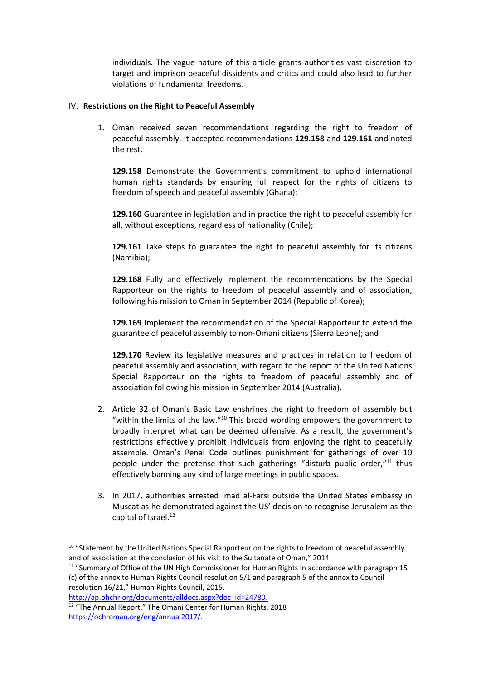individuals. The vague nature of this article grants authorities vast discretion to target and imprison peaceful dissidents and critics and could also lead to further violations of fundamental freedoms.

# IV. **Restrictions on the Right to Peaceful Assembly**

1. Oman received seven recommendations regarding the right to freedom of peaceful assembly. It accepted recommendations **129.158** and **129.161** and noted the rest.

**129.158** Demonstrate the Government'<sup>s</sup> commitment to uphold international human rights standards by ensuring full respect for the rights of citizens to freedom of speech and peaceful assembly (Ghana);

**129.160** Guarantee in legislation and in practice the right to peaceful assembly for all, without exceptions, regardless of nationality (Chile);

**129.161** Take steps to guarantee the right to peaceful assembly for its citizens (Namibia);

**129.168** Fully and effectively implement the recommendations by the Special Rapporteur on the rights to freedom of peaceful assembly and of association, following his mission to Oman in September 2014 (Republic of Korea);

**129.169** Implement the recommendation of the Special Rapporteur to extend the guarantee of peaceful assembly to non-Omani citizens (Sierra Leone); and

**129.170** Review its legislative measures and practices in relation to freedom of peaceful assembly and association, with regard to the report of the United Nations Special Rapporteur on the rights to freedom of peaceful assembly and of association following his mission in September 2014 (Australia).

- 2. Article 32 of Oman'<sup>s</sup> Basic Law enshrines the right to freedom of assembly but "within the limits of the law." $^{10}$  This broad wording empowers the government to broadly interpret what can be deemed offensive. As <sup>a</sup> result, the government'<sup>s</sup> restrictions effectively prohibit individuals from enjoying the right to peacefully assemble. Oman'<sup>s</sup> Penal Code outlines punishment for gatherings of over 10 people under the pretense that such gatherings "disturb public order,"<sup>11</sup> thus effectively banning any kind of large meetings in public spaces.
- 3. In 2017, authorities arrested Imad al-Farsi outside the United States embassy in Muscat as he demonstrated against the US' decision to recognise Jerusalem as the capital of Israel. 12

<sup>&</sup>lt;sup>10</sup> "Statement by the United Nations Special Rapporteur on the rights to freedom of peaceful assembly and of association at the conclusion of his visit to the Sultanate of Oman," 2014.

<sup>&</sup>lt;sup>11</sup> "Summary of Office of the UN High Commissioner for Human Rights in accordance with paragraph 15 (c) of the annex to Human Rights Council resolution 5/1 and paragraph 5 of the annex to Council resolution 16/21," Human Rights Council, 2015,

[http://ap.ohchr.org/documents/alldocs.aspx?doc\\_id=24780](about:blank).

<sup>&</sup>lt;sup>12</sup> "The Annual Report," The Omani Center for Human Rights, 2018 [https://ochroman.org/eng/annual2017/](about:blank).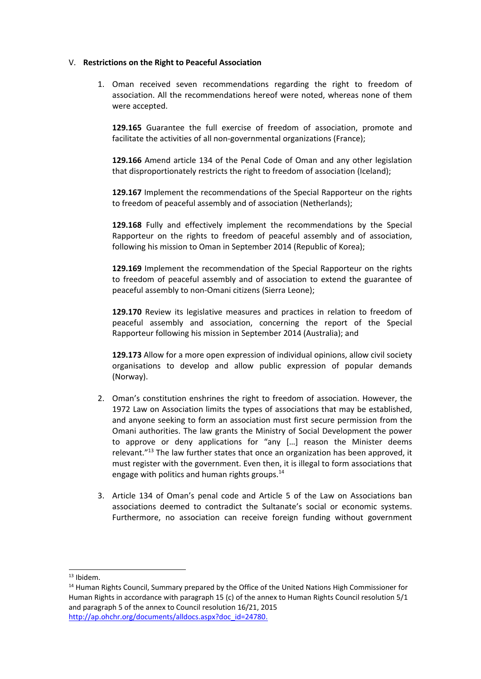### V. **Restrictions on the Right to Peaceful Association**

1. Oman received seven recommendations regarding the right to freedom of association. All the recommendations hereof were noted, whereas none of them were accepted.

**129.165** Guarantee the full exercise of freedom of association, promote and facilitate the activities of all non-governmental organizations (France);

**129.166** Amend article 134 of the Penal Code of Oman and any other legislation that disproportionately restricts the right to freedom of association (Iceland);

**129.167** Implement the recommendations of the Special Rapporteur on the rights to freedom of peaceful assembly and of association (Netherlands);

**129.168** Fully and effectively implement the recommendations by the Special Rapporteur on the rights to freedom of peaceful assembly and of association, following his mission to Oman in September 2014 (Republic of Korea);

**129.169** Implement the recommendation of the Special Rapporteur on the rights to freedom of peaceful assembly and of association to extend the guarantee of peaceful assembly to non-Omani citizens (Sierra Leone);

**129.170** Review its legislative measures and practices in relation to freedom of peaceful assembly and association, concerning the report of the Special Rapporteur following his mission in September 2014 (Australia); and

**129.173** Allow for <sup>a</sup> more open expression of individual opinions, allow civil society organisations to develop and allow public expression of popular demands (Norway).

- 2. Oman'<sup>s</sup> constitution enshrines the right to freedom of association. However, the 1972 Law on Association limits the types of associations that may be established, and anyone seeking to form an association must first secure permission from the Omani authorities. The law grants the Ministry of Social Development the power to approve or deny applications for "any […] reason the Minister deems relevant."<sup>13</sup> The law further states that once an organization has been approved, it must register with the government. Even then, it is illegal to form associations that engage with politics and human rights groups. 14
- 3. Article 134 of Oman'<sup>s</sup> penal code and Article 5 of the Law on Associations ban associations deemed to contradict the Sultanate'<sup>s</sup> social or economic systems. Furthermore, no association can receive foreign funding without government

<sup>&</sup>lt;sup>13</sup> Ibidem.

<sup>&</sup>lt;sup>14</sup> Human Rights Council, Summary prepared by the Office of the United Nations High Commissioner for Human Rights in accordance with paragraph 15 (c) of the annex to Human Rights Council resolution 5/1 and paragraph 5 of the annex to Council resolution 16/21, 2015 [http://ap.ohchr.org/documents/alldocs.aspx?doc\\_id=24780](about:blank).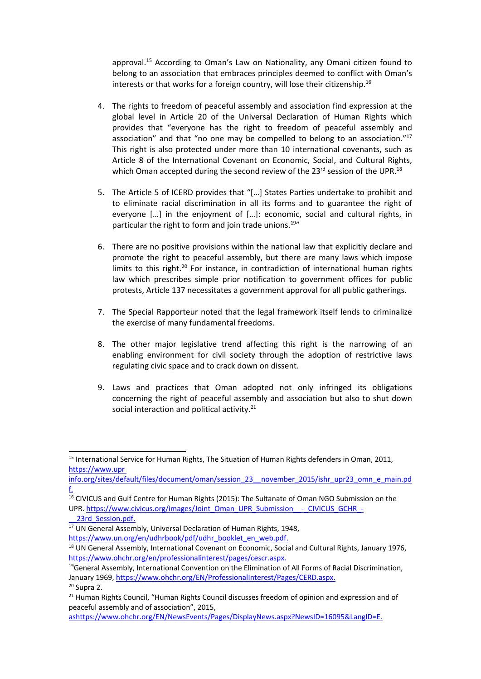approval.<sup>15</sup> According to Oman's Law on Nationality, any Omani citizen found to belong to an association that embraces principles deemed to conflict with Oman'<sup>s</sup> interests or that works for a foreign country, will lose their citizenship. $^{16}$ 

- 4. The rights to freedom of peaceful assembly and association find expression at the global level in Article 20 of the Universal Declaration of Human Rights which provides that "everyone has the right to freedom of peaceful assembly and association" and that "no one may be compelled to belong to an association."<sup>17</sup> This right is also protected under more than 10 international covenants, such as Article 8 of the International Covenant on Economic, Social, and Cultural Rights, which Oman accepted during the second review of the 23<sup>rd</sup> session of the UPR.<sup>18</sup>
- 5. The Article 5 of ICERD provides that "[…] States Parties undertake to prohibit and to eliminate racial discrimination in all its forms and to guarantee the right of everyone […] in the enjoyment of […]: economic, social and cultural rights, in particular the right to form and join trade unions.<sup>19</sup>"
- 6. There are no positive provisions within the national law that explicitly declare and promote the right to peaceful assembly, but there are many laws which impose limits to this right.<sup>20</sup> For instance, in contradiction of international human rights law which prescribes simple prior notification to government offices for public protests, Article 137 necessitates <sup>a</sup> government approval for all public gatherings.
- 7. The Special Rapporteur noted that the legal framework itself lends to criminalize the exercise of many fundamental freedoms.
- 8. The other major legislative trend affecting this right is the narrowing of an enabling environment for civil society through the adoption of restrictive laws regulating civic space and to crack down on dissent.
- 9. Laws and practices that Oman adopted not only infringed its obligations concerning the right of peaceful assembly and association but also to shut down social interaction and political activity.<sup>21</sup>

<sup>&</sup>lt;sup>15</sup> International Service for Human Rights, The Situation of Human Rights defenders in Oman, 2011, https://www.upr

info.org/sites/default/files/document/oman/session\_23\_\_november\_2015/ishr\_upr23\_omn\_e\_main.pd f.

<sup>&</sup>lt;sup>16</sup> CIVICUS and Gulf Centre for Human Rights (2015): The Sultanate of Oman NGO Submission on the UPR. [https://www.civicus.org/images/Joint\\_Oman\\_UPR\\_Submission\\_\\_-\\_CIVICUS\\_GCHR\\_-](about:blank)

\_\_[23rd\\_Session.pdf](about:blank).

<sup>&</sup>lt;sup>17</sup> UN General Assembly, Universal Declaration of Human Rights, 1948,

[https://www.un.org/en/udhrbook/pdf/udhr\\_booklet\\_en\\_web.pdf](about:blank).

<sup>&</sup>lt;sup>18</sup> UN General Assembly, International Covenant on Economic, Social and Cultural Rights, January 1976, <https://www.ohchr.org/en/professionalinterest/pages/cescr.aspx>.

<sup>&</sup>lt;sup>19</sup>General Assembly, International Convention on the Elimination of All Forms of Racial Discrimination, January 1969, [https://www.ohchr.org/EN/ProfessionalInterest/Pages/CERD.aspx](about:blank).

<sup>&</sup>lt;sup>20</sup> Supra 2. <sup>21</sup> Human Rights Council, "Human Rights Council discusses freedom of opinion and expression and of peaceful assembly and of association", 2015,

as[https://www.ohchr.org/EN/NewsEvents/Pages/DisplayNews.aspx?NewsID=16095&LangID=E](about:blank).